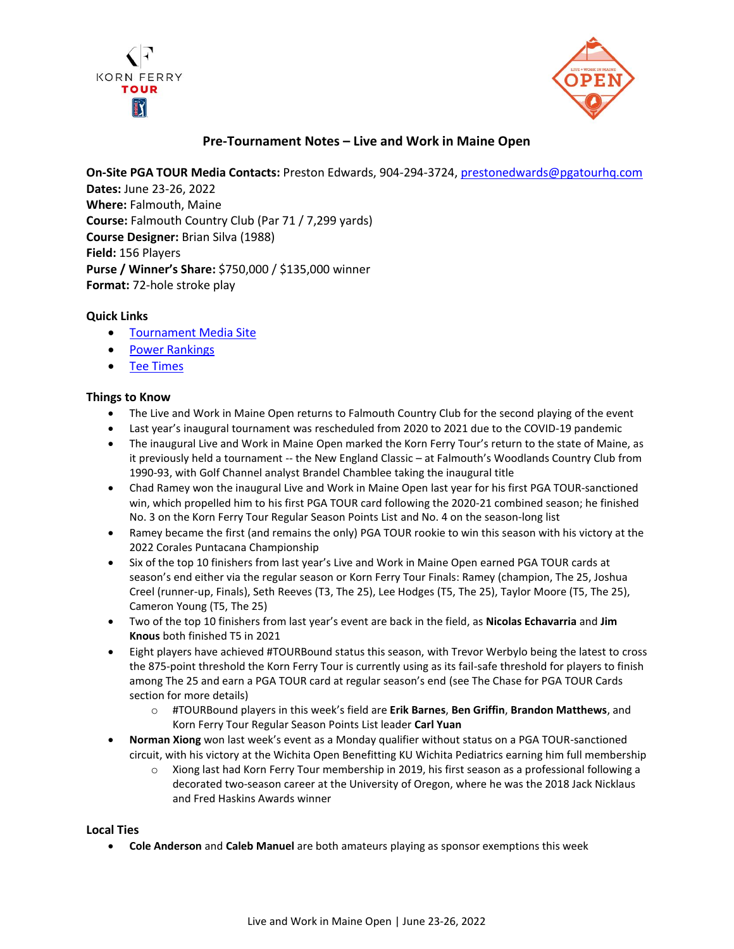



# **Pre-Tournament Notes – Live and Work in Maine Open**

**On-Site PGA TOUR Media Contacts:** Preston Edwards, 904-294-3724[, prestonedwards@pgatourhq.com](mailto:prestonedwards@pgatourhq.com)

**Dates:** June 23-26, 2022 **Where:** Falmouth, Maine **Course:** Falmouth Country Club (Par 71 / 7,299 yards) **Course Designer:** Brian Silva (1988) **Field:** 156 Players **Purse / Winner's Share:** \$750,000 / \$135,000 winner **Format:** 72-hole stroke play

# **Quick Links**

- [Tournament Media Site](https://www.pgatour.com/korn-ferry-tour/tournaments/live-and-work-in-maine-open.html)
- [Power Rankings](https://www.pgatour.com/korn-ferry-tour/power-rankings/2022/06/21/live-and-work-in-maine-open-players-to-watch.html)
- [Tee Times](https://www.pgatour.com/korn-ferry-tour/tournaments/live-and-work-in-maine-open/tee-times.html)

# **Things to Know**

- The Live and Work in Maine Open returns to Falmouth Country Club for the second playing of the event
- Last year's inaugural tournament was rescheduled from 2020 to 2021 due to the COVID-19 pandemic
- The inaugural Live and Work in Maine Open marked the Korn Ferry Tour's return to the state of Maine, as it previously held a tournament -- the New England Classic – at Falmouth's Woodlands Country Club from 1990-93, with Golf Channel analyst Brandel Chamblee taking the inaugural title
- Chad Ramey won the inaugural Live and Work in Maine Open last year for his first PGA TOUR-sanctioned win, which propelled him to his first PGA TOUR card following the 2020-21 combined season; he finished No. 3 on the Korn Ferry Tour Regular Season Points List and No. 4 on the season-long list
- Ramey became the first (and remains the only) PGA TOUR rookie to win this season with his victory at the 2022 Corales Puntacana Championship
- Six of the top 10 finishers from last year's Live and Work in Maine Open earned PGA TOUR cards at season's end either via the regular season or Korn Ferry Tour Finals: Ramey (champion, The 25, Joshua Creel (runner-up, Finals), Seth Reeves (T3, The 25), Lee Hodges (T5, The 25), Taylor Moore (T5, The 25), Cameron Young (T5, The 25)
- Two of the top 10 finishers from last year's event are back in the field, as **Nicolas Echavarria** and **Jim Knous** both finished T5 in 2021
- Eight players have achieved #TOURBound status this season, with Trevor Werbylo being the latest to cross the 875-point threshold the Korn Ferry Tour is currently using as its fail-safe threshold for players to finish among The 25 and earn a PGA TOUR card at regular season's end (see The Chase for PGA TOUR Cards section for more details)
	- o #TOURBound players in this week's field are **Erik Barnes**, **Ben Griffin**, **Brandon Matthews**, and Korn Ferry Tour Regular Season Points List leader **Carl Yuan**
- **Norman Xiong** won last week's event as a Monday qualifier without status on a PGA TOUR-sanctioned circuit, with his victory at the Wichita Open Benefitting KU Wichita Pediatrics earning him full membership
	- o Xiong last had Korn Ferry Tour membership in 2019, his first season as a professional following a decorated two-season career at the University of Oregon, where he was the 2018 Jack Nicklaus and Fred Haskins Awards winner

### **Local Ties**

• **Cole Anderson** and **Caleb Manuel** are both amateurs playing as sponsor exemptions this week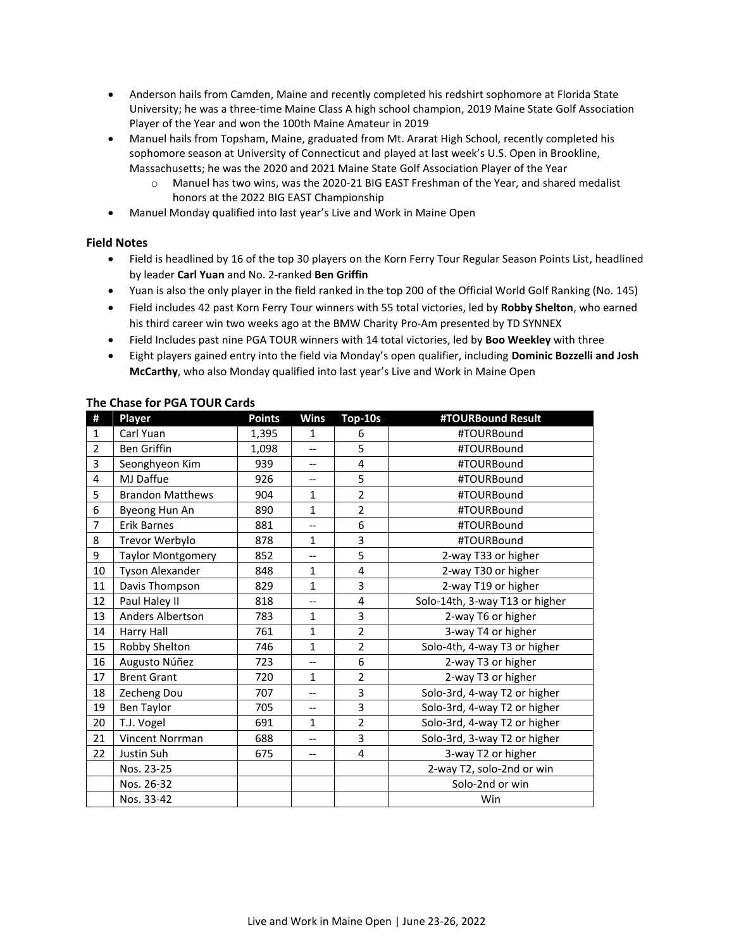- Anderson hails from Camden, Maine and recently completed his redshirt sophomore at Florida State University; he was a three-time Maine Class A high school champion, 2019 Maine State Golf Association Player of the Year and won the 100th Maine Amateur in 2019
- Manuel hails from Topsham, Maine, graduated from Mt. Ararat High School, recently completed his sophomore season at University of Connecticut and played at last week's U.S. Open in Brookline, Massachusetts; he was the 2020 and 2021 Maine State Golf Association Player of the Year
	- o Manuel has two wins, was the 2020-21 BIG EAST Freshman of the Year, and shared medalist honors at the 2022 BIG EAST Championship
- Manuel Monday qualified into last year's Live and Work in Maine Open

### **Field Notes**

- Field is headlined by 16 of the top 30 players on the Korn Ferry Tour Regular Season Points List, headlined by leader **Carl Yuan** and No. 2-ranked **Ben Griffin**
- Yuan is also the only player in the field ranked in the top 200 of the Official World Golf Ranking (No. 145)
- Field includes 42 past Korn Ferry Tour winners with 55 total victories, led by **Robby Shelton**, who earned his third career win two weeks ago at the BMW Charity Pro-Am presented by TD SYNNEX
- Field Includes past nine PGA TOUR winners with 14 total victories, led by **Boo Weekley** with three
- Eight players gained entry into the field via Monday's open qualifier, including **Dominic Bozzelli and Josh McCarthy**, who also Monday qualified into last year's Live and Work in Maine Open

| #              | Player                   | <b>Points</b> | <b>Wins</b>              | Top-10s        | #TOURBound Result              |
|----------------|--------------------------|---------------|--------------------------|----------------|--------------------------------|
| $\mathbf{1}$   | Carl Yuan                | 1,395         | $\mathbf{1}$             | 6              | #TOURBound                     |
| $\overline{2}$ | <b>Ben Griffin</b>       | 1,098         | $\overline{a}$           | 5              | #TOURBound                     |
| 3              | Seonghyeon Kim           | 939           | $\overline{\phantom{a}}$ | 4              | #TOURBound                     |
| 4              | MJ Daffue                | 926           | $-$                      | 5              | #TOURBound                     |
| 5              | <b>Brandon Matthews</b>  | 904           | $\mathbf{1}$             | $\overline{2}$ | #TOURBound                     |
| 6              | Byeong Hun An            | 890           | $\mathbf{1}$             | $\overline{2}$ | #TOURBound                     |
| $\overline{7}$ | <b>Erik Barnes</b>       | 881           | $\overline{\phantom{a}}$ | 6              | #TOURBound                     |
| 8              | Trevor Werbylo           | 878           | $\mathbf{1}$             | 3              | #TOURBound                     |
| 9              | <b>Taylor Montgomery</b> | 852           | $-$                      | 5              | 2-way T33 or higher            |
| 10             | Tyson Alexander          | 848           | $\mathbf{1}$             | 4              | 2-way T30 or higher            |
| 11             | Davis Thompson           | 829           | $\mathbf{1}$             | 3              | 2-way T19 or higher            |
| 12             | Paul Haley II            | 818           | $-$                      | 4              | Solo-14th, 3-way T13 or higher |
| 13             | <b>Anders Albertson</b>  | 783           | $\mathbf{1}$             | 3              | 2-way T6 or higher             |
| 14             | Harry Hall               | 761           | $\mathbf{1}$             | $\overline{2}$ | 3-way T4 or higher             |
| 15             | Robby Shelton            | 746           | $\mathbf{1}$             | $\overline{2}$ | Solo-4th, 4-way T3 or higher   |
| 16             | Augusto Núñez            | 723           | --                       | 6              | 2-way T3 or higher             |
| 17             | <b>Brent Grant</b>       | 720           | $\mathbf{1}$             | $\overline{2}$ | 2-way T3 or higher             |
| 18             | Zecheng Dou              | 707           | $\overline{\phantom{a}}$ | 3              | Solo-3rd, 4-way T2 or higher   |
| 19             | <b>Ben Taylor</b>        | 705           | $\qquad \qquad -$        | 3              | Solo-3rd, 4-way T2 or higher   |
| 20             | T.J. Vogel               | 691           | $\mathbf{1}$             | $\overline{2}$ | Solo-3rd, 4-way T2 or higher   |
| 21             | Vincent Norrman          | 688           |                          | 3              | Solo-3rd, 3-way T2 or higher   |
| 22             | Justin Suh               | 675           | $\overline{\phantom{m}}$ | 4              | 3-way T2 or higher             |
|                | Nos. 23-25               |               |                          |                | 2-way T2, solo-2nd or win      |
|                | Nos. 26-32               |               |                          |                | Solo-2nd or win                |
|                | Nos. 33-42               |               |                          |                | Win                            |

# **The Chase for PGA TOUR Cards**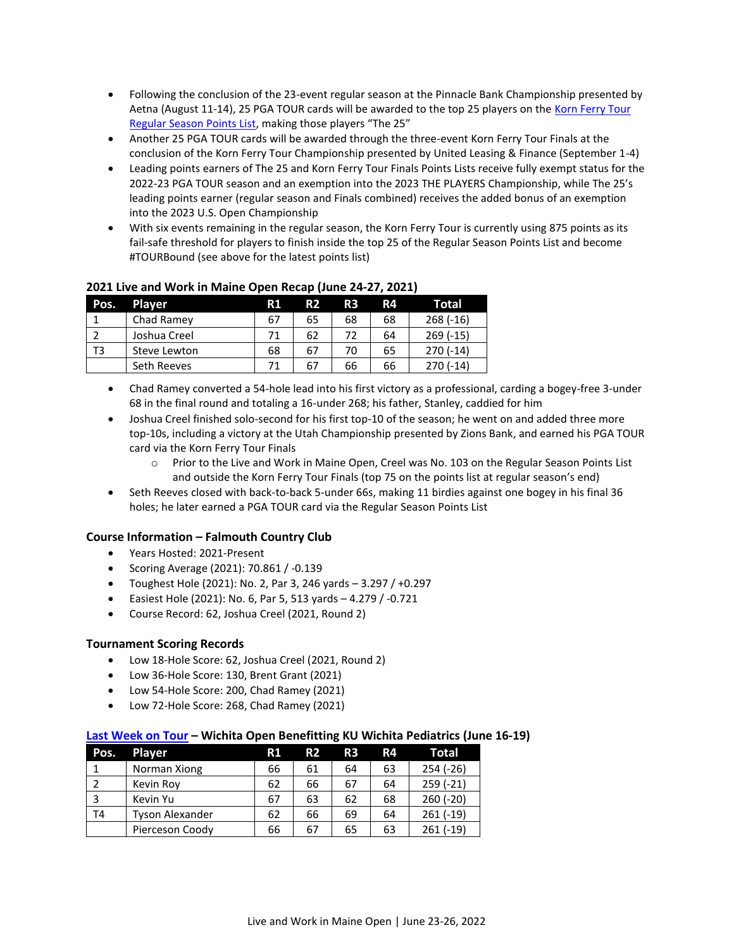- Following the conclusion of the 23-event regular season at the Pinnacle Bank Championship presented by Aetna (August 11-14), 25 PGA TOUR cards will be awarded to the top 25 players on th[e Korn Ferry Tour](https://www.pgatour.com/korn-ferry-tour/stats/stat.02677.html)  [Regular Season Points List](https://www.pgatour.com/korn-ferry-tour/stats/stat.02677.html), making those players "The 25"
- Another 25 PGA TOUR cards will be awarded through the three-event Korn Ferry Tour Finals at the conclusion of the Korn Ferry Tour Championship presented by United Leasing & Finance (September 1-4)
- Leading points earners of The 25 and Korn Ferry Tour Finals Points Lists receive fully exempt status for the 2022-23 PGA TOUR season and an exemption into the 2023 THE PLAYERS Championship, while The 25's leading points earner (regular season and Finals combined) receives the added bonus of an exemption into the 2023 U.S. Open Championship
- With six events remaining in the regular season, the Korn Ferry Tour is currently using 875 points as its fail-safe threshold for players to finish inside the top 25 of the Regular Season Points List and become #TOURBound (see above for the latest points list)

| Pos. | <b>Player</b> | R1 | R <sub>2</sub> | R <sub>3</sub> | R4 | Total      |
|------|---------------|----|----------------|----------------|----|------------|
|      | Chad Ramey    | 67 | 65             | 68             | 68 | $268(-16)$ |
|      | Joshua Creel  | 71 | 62             | 72             | 64 | $269(-15)$ |
| T3   | Steve Lewton  | 68 | 67             | 70             | 65 | $270(-14)$ |
|      | Seth Reeves   |    | 67             | 66             | 66 | $270(-14)$ |

# **2021 Live and Work in Maine Open Recap (June 24-27, 2021)**

- Chad Ramey converted a 54-hole lead into his first victory as a professional, carding a bogey-free 3-under 68 in the final round and totaling a 16-under 268; his father, Stanley, caddied for him
- Joshua Creel finished solo-second for his first top-10 of the season; he went on and added three more top-10s, including a victory at the Utah Championship presented by Zions Bank, and earned his PGA TOUR card via the Korn Ferry Tour Finals
	- o Prior to the Live and Work in Maine Open, Creel was No. 103 on the Regular Season Points List and outside the Korn Ferry Tour Finals (top 75 on the points list at regular season's end)
- Seth Reeves closed with back-to-back 5-under 66s, making 11 birdies against one bogey in his final 36 holes; he later earned a PGA TOUR card via the Regular Season Points List

# **Course Information – Falmouth Country Club**

- Years Hosted: 2021-Present
- Scoring Average (2021): 70.861 / -0.139
- Toughest Hole (2021): No. 2, Par 3, 246 yards  $-3.297/+0.297$
- Easiest Hole (2021): No. 6, Par 5, 513 yards 4.279 / -0.721
- Course Record: 62, Joshua Creel (2021, Round 2)

# **Tournament Scoring Records**

- Low 18-Hole Score: 62, Joshua Creel (2021, Round 2)
- Low 36-Hole Score: 130, Brent Grant (2021)
- Low 54-Hole Score: 200, Chad Ramey (2021)
- Low 72-Hole Score: 268, Chad Ramey (2021)

# **[Last Week](https://www.pgatour.com/korn-ferry-tour/daily-wrapup/2022/06/19/open-qualifier-norman-xiong-wins-wichita-open-benefitting-ku-wichita-pediatrics-earns-korn-ferry-tour-membership.html) on Tour – Wichita Open Benefitting KU Wichita Pediatrics (June 16-19)**

| Pos. | <b>Player</b>          | R1 | <b>R2</b> | R3 | R4 | <b>Total</b> |
|------|------------------------|----|-----------|----|----|--------------|
|      | Norman Xiong           | 66 | 61        | 64 | 63 | $254 (-26)$  |
|      | Kevin Roy              | 62 | 66        | 67 | 64 | $259(-21)$   |
| 3    | Kevin Yu               | 67 | 63        | 62 | 68 | $260 (-20)$  |
| T4   | <b>Tyson Alexander</b> | 62 | 66        | 69 | 64 | $261(-19)$   |
|      | Pierceson Coody        | 66 | 67        | 65 | 63 | $261(-19)$   |